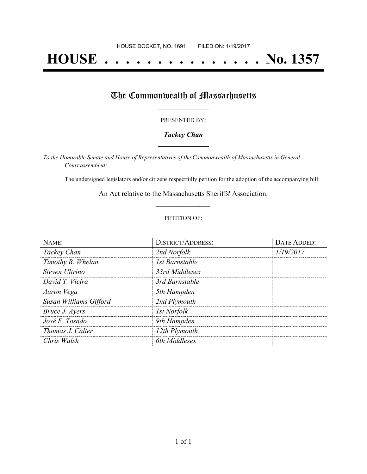# **HOUSE . . . . . . . . . . . . . . . No. 1357**

## The Commonwealth of Massachusetts

#### PRESENTED BY:

#### *Tackey Chan* **\_\_\_\_\_\_\_\_\_\_\_\_\_\_\_\_\_**

*To the Honorable Senate and House of Representatives of the Commonwealth of Massachusetts in General Court assembled:*

The undersigned legislators and/or citizens respectfully petition for the adoption of the accompanying bill:

An Act relative to the Massachusetts Sheriffs' Association. **\_\_\_\_\_\_\_\_\_\_\_\_\_\_\_**

#### PETITION OF:

| NAME:                  | <b>DISTRICT/ADDRESS:</b> | DATE ADDED: |
|------------------------|--------------------------|-------------|
| Tackey Chan            | 2nd Norfolk              | 1/19/2017   |
| Timothy R. Whelan      | 1st Barnstable           |             |
| Steven Ultrino         | 33rd Middlesex           |             |
| David T. Vieira        | 3rd Barnstable           |             |
| Aaron Vega             | 5th Hampden              |             |
| Susan Williams Gifford | 2nd Plymouth             |             |
| Bruce J. Ayers         | <b>Ist Norfolk</b>       |             |
| José F. Tosado         | 9th Hampden              |             |
| Thomas J. Calter       | 12th Plymouth            |             |
| Chris Walsh            | 6th Middlesex            |             |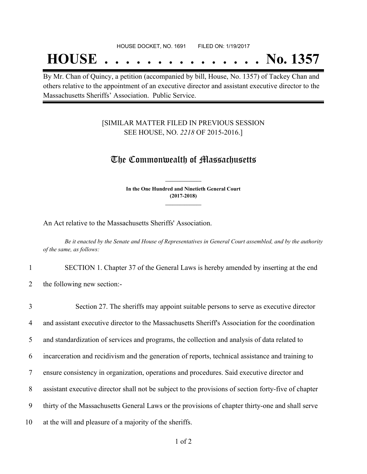## **HOUSE . . . . . . . . . . . . . . . No. 1357**

By Mr. Chan of Quincy, a petition (accompanied by bill, House, No. 1357) of Tackey Chan and others relative to the appointment of an executive director and assistant executive director to the Massachusetts Sheriffs' Association. Public Service.

#### [SIMILAR MATTER FILED IN PREVIOUS SESSION SEE HOUSE, NO. *2218* OF 2015-2016.]

### The Commonwealth of Massachusetts

**In the One Hundred and Ninetieth General Court (2017-2018) \_\_\_\_\_\_\_\_\_\_\_\_\_\_\_**

**\_\_\_\_\_\_\_\_\_\_\_\_\_\_\_**

An Act relative to the Massachusetts Sheriffs' Association.

Be it enacted by the Senate and House of Representatives in General Court assembled, and by the authority *of the same, as follows:*

1 SECTION 1. Chapter 37 of the General Laws is hereby amended by inserting at the end

2 the following new section:-

| $\overline{3}$ | Section 27. The sheriffs may appoint suitable persons to serve as executive director                 |
|----------------|------------------------------------------------------------------------------------------------------|
| $\overline{4}$ | and assistant executive director to the Massachusetts Sheriff's Association for the coordination     |
| 5              | and standardization of services and programs, the collection and analysis of data related to         |
| 6              | incarceration and recidivism and the generation of reports, technical assistance and training to     |
|                | ensure consistency in organization, operations and procedures. Said executive director and           |
| 8              | assistant executive director shall not be subject to the provisions of section forty-five of chapter |
| 9              | thirty of the Massachusetts General Laws or the provisions of chapter thirty-one and shall serve     |
| 10             | at the will and pleasure of a majority of the sheriffs.                                              |